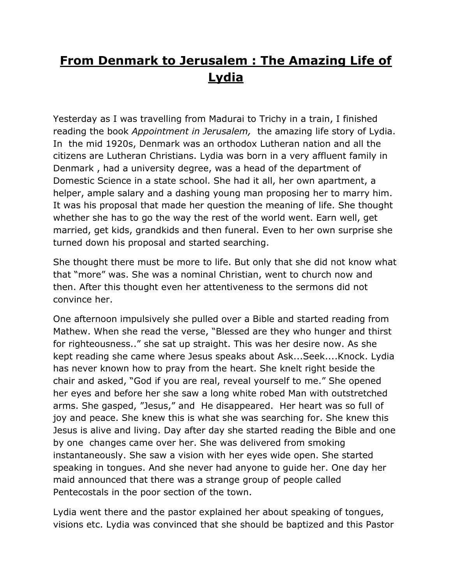## **From Denmark to Jerusalem : The Amazing Life of Lydia**

Yesterday as I was travelling from Madurai to Trichy in a train, I finished reading the book *Appointment in Jerusalem,* the amazing life story of Lydia. In the mid 1920s, Denmark was an orthodox Lutheran nation and all the citizens are Lutheran Christians. Lydia was born in a very affluent family in Denmark , had a university degree, was a head of the department of Domestic Science in a state school. She had it all, her own apartment, a helper, ample salary and a dashing young man proposing her to marry him. It was his proposal that made her question the meaning of life. She thought whether she has to go the way the rest of the world went. Earn well, get married, get kids, grandkids and then funeral. Even to her own surprise she turned down his proposal and started searching.

She thought there must be more to life. But only that she did not know what that "more" was. She was a nominal Christian, went to church now and then. After this thought even her attentiveness to the sermons did not convince her.

One afternoon impulsively she pulled over a Bible and started reading from Mathew. When she read the verse, "Blessed are they who hunger and thirst for righteousness.." she sat up straight. This was her desire now. As she kept reading she came where Jesus speaks about Ask...Seek....Knock. Lydia has never known how to pray from the heart. She knelt right beside the chair and asked, "God if you are real, reveal yourself to me." She opened her eyes and before her she saw a long white robed Man with outstretched arms. She gasped, "Jesus," and He disappeared. Her heart was so full of joy and peace. She knew this is what she was searching for. She knew this Jesus is alive and living. Day after day she started reading the Bible and one by one changes came over her. She was delivered from smoking instantaneously. She saw a vision with her eyes wide open. She started speaking in tongues. And she never had anyone to guide her. One day her maid announced that there was a strange group of people called Pentecostals in the poor section of the town.

Lydia went there and the pastor explained her about speaking of tongues, visions etc. Lydia was convinced that she should be baptized and this Pastor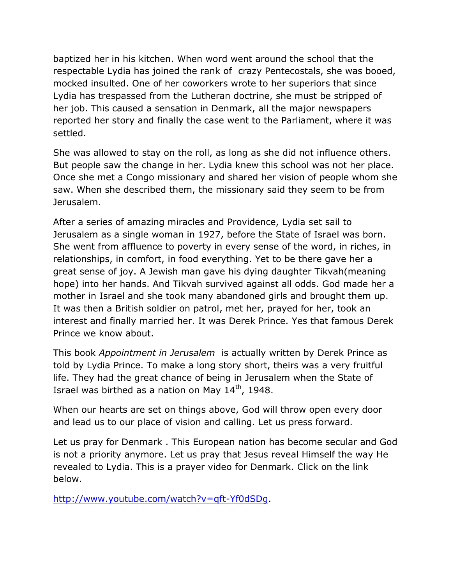baptized her in his kitchen. When word went around the school that the respectable Lydia has joined the rank of crazy Pentecostals, she was booed, mocked insulted. One of her coworkers wrote to her superiors that since Lydia has trespassed from the Lutheran doctrine, she must be stripped of her job. This caused a sensation in Denmark, all the major newspapers reported her story and finally the case went to the Parliament, where it was settled.

She was allowed to stay on the roll, as long as she did not influence others. But people saw the change in her. Lydia knew this school was not her place. Once she met a Congo missionary and shared her vision of people whom she saw. When she described them, the missionary said they seem to be from Jerusalem.

After a series of amazing miracles and Providence, Lydia set sail to Jerusalem as a single woman in 1927, before the State of Israel was born. She went from affluence to poverty in every sense of the word, in riches, in relationships, in comfort, in food everything. Yet to be there gave her a great sense of joy. A Jewish man gave his dying daughter Tikvah(meaning hope) into her hands. And Tikvah survived against all odds. God made her a mother in Israel and she took many abandoned girls and brought them up. It was then a British soldier on patrol, met her, prayed for her, took an interest and finally married her. It was Derek Prince. Yes that famous Derek Prince we know about.

This book *Appointment in Jerusalem* is actually written by Derek Prince as told by Lydia Prince. To make a long story short, theirs was a very fruitful life. They had the great chance of being in Jerusalem when the State of Israel was birthed as a nation on May  $14<sup>th</sup>$ , 1948.

When our hearts are set on things above, God will throw open every door and lead us to our place of vision and calling. Let us press forward.

Let us pray for Denmark . This European nation has become secular and God is not a priority anymore. Let us pray that Jesus reveal Himself the way He revealed to Lydia. This is a prayer video for Denmark. Click on the link below.

[http://www.youtube.com/watch?v=qft-Yf0dSDg.](http://www.youtube.com/watch?v=qft-Yf0dSDg)